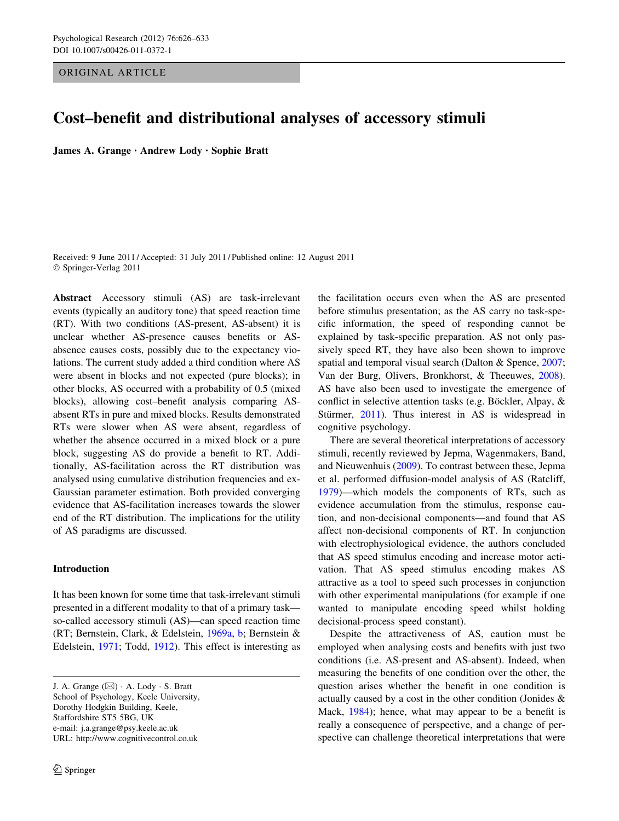ORIGINAL ARTICLE

# Cost–benefit and distributional analyses of accessory stimuli

James A. Grange • Andrew Lody • Sophie Bratt

Received: 9 June 2011 / Accepted: 31 July 2011 / Published online: 12 August 2011 © Springer-Verlag 2011

Abstract Accessory stimuli (AS) are task-irrelevant events (typically an auditory tone) that speed reaction time (RT). With two conditions (AS-present, AS-absent) it is unclear whether AS-presence causes benefits or ASabsence causes costs, possibly due to the expectancy violations. The current study added a third condition where AS were absent in blocks and not expected (pure blocks); in other blocks, AS occurred with a probability of 0.5 (mixed blocks), allowing cost–benefit analysis comparing ASabsent RTs in pure and mixed blocks. Results demonstrated RTs were slower when AS were absent, regardless of whether the absence occurred in a mixed block or a pure block, suggesting AS do provide a benefit to RT. Additionally, AS-facilitation across the RT distribution was analysed using cumulative distribution frequencies and ex-Gaussian parameter estimation. Both provided converging evidence that AS-facilitation increases towards the slower end of the RT distribution. The implications for the utility of AS paradigms are discussed.

# Introduction

It has been known for some time that task-irrelevant stimuli presented in a different modality to that of a primary task so-called accessory stimuli (AS)—can speed reaction time (RT; Bernstein, Clark, & Edelstein, [1969a](#page-7-0), [b;](#page-7-0) Bernstein & Edelstein, [1971](#page-7-0); Todd, [1912\)](#page-7-0). This effect is interesting as

J. A. Grange  $(\boxtimes) \cdot$  A. Lody  $\cdot$  S. Bratt School of Psychology, Keele University, Dorothy Hodgkin Building, Keele, Staffordshire ST5 5BG, UK e-mail: j.a.grange@psy.keele.ac.uk URL: http://www.cognitivecontrol.co.uk

the facilitation occurs even when the AS are presented before stimulus presentation; as the AS carry no task-specific information, the speed of responding cannot be explained by task-specific preparation. AS not only passively speed RT, they have also been shown to improve spatial and temporal visual search (Dalton & Spence, [2007](#page-7-0); Van der Burg, Olivers, Bronkhorst, & Theeuwes, [2008](#page-7-0)). AS have also been used to investigate the emergence of conflict in selective attention tasks (e.g. Böckler, Alpay,  $\&$ Stürmer,  $2011$ ). Thus interest in AS is widespread in cognitive psychology.

There are several theoretical interpretations of accessory stimuli, recently reviewed by Jepma, Wagenmakers, Band, and Nieuwenhuis [\(2009](#page-7-0)). To contrast between these, Jepma et al. performed diffusion-model analysis of AS (Ratcliff, [1979](#page-7-0))—which models the components of RTs, such as evidence accumulation from the stimulus, response caution, and non-decisional components—and found that AS affect non-decisional components of RT. In conjunction with electrophysiological evidence, the authors concluded that AS speed stimulus encoding and increase motor activation. That AS speed stimulus encoding makes AS attractive as a tool to speed such processes in conjunction with other experimental manipulations (for example if one wanted to manipulate encoding speed whilst holding decisional-process speed constant).

Despite the attractiveness of AS, caution must be employed when analysing costs and benefits with just two conditions (i.e. AS-present and AS-absent). Indeed, when measuring the benefits of one condition over the other, the question arises whether the benefit in one condition is actually caused by a cost in the other condition (Jonides & Mack, [1984\)](#page-7-0); hence, what may appear to be a benefit is really a consequence of perspective, and a change of perspective can challenge theoretical interpretations that were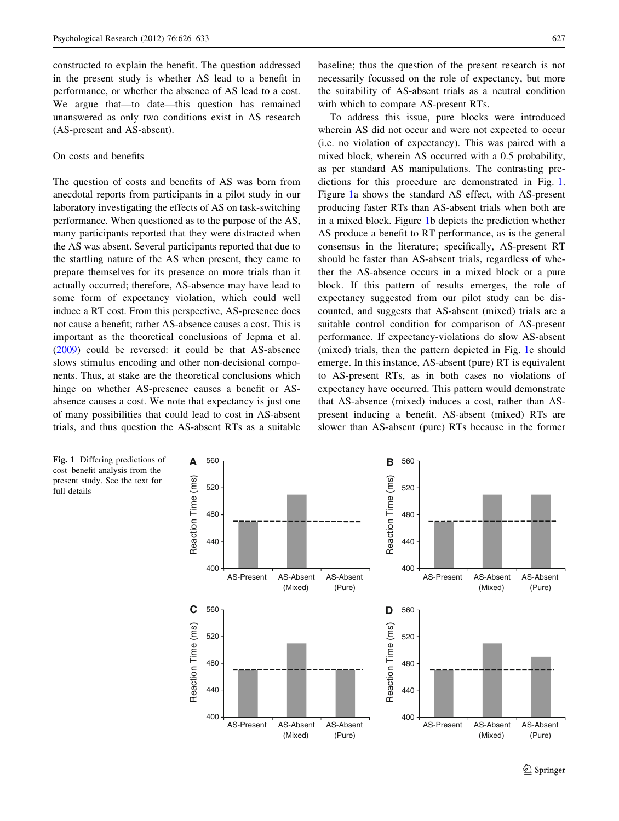<span id="page-1-0"></span>constructed to explain the benefit. The question addressed in the present study is whether AS lead to a benefit in performance, or whether the absence of AS lead to a cost. We argue that—to date—this question has remained unanswered as only two conditions exist in AS research (AS-present and AS-absent).

## On costs and benefits

The question of costs and benefits of AS was born from anecdotal reports from participants in a pilot study in our laboratory investigating the effects of AS on task-switching performance. When questioned as to the purpose of the AS, many participants reported that they were distracted when the AS was absent. Several participants reported that due to the startling nature of the AS when present, they came to prepare themselves for its presence on more trials than it actually occurred; therefore, AS-absence may have lead to some form of expectancy violation, which could well induce a RT cost. From this perspective, AS-presence does not cause a benefit; rather AS-absence causes a cost. This is important as the theoretical conclusions of Jepma et al. [\(2009](#page-7-0)) could be reversed: it could be that AS-absence slows stimulus encoding and other non-decisional components. Thus, at stake are the theoretical conclusions which hinge on whether AS-presence causes a benefit or ASabsence causes a cost. We note that expectancy is just one of many possibilities that could lead to cost in AS-absent trials, and thus question the AS-absent RTs as a suitable baseline; thus the question of the present research is not necessarily focussed on the role of expectancy, but more the suitability of AS-absent trials as a neutral condition with which to compare AS-present RTs.

To address this issue, pure blocks were introduced wherein AS did not occur and were not expected to occur (i.e. no violation of expectancy). This was paired with a mixed block, wherein AS occurred with a 0.5 probability, as per standard AS manipulations. The contrasting predictions for this procedure are demonstrated in Fig. 1. Figure 1a shows the standard AS effect, with AS-present producing faster RTs than AS-absent trials when both are in a mixed block. Figure 1b depicts the prediction whether AS produce a benefit to RT performance, as is the general consensus in the literature; specifically, AS-present RT should be faster than AS-absent trials, regardless of whether the AS-absence occurs in a mixed block or a pure block. If this pattern of results emerges, the role of expectancy suggested from our pilot study can be discounted, and suggests that AS-absent (mixed) trials are a suitable control condition for comparison of AS-present performance. If expectancy-violations do slow AS-absent (mixed) trials, then the pattern depicted in Fig. 1c should emerge. In this instance, AS-absent (pure) RT is equivalent to AS-present RTs, as in both cases no violations of expectancy have occurred. This pattern would demonstrate that AS-absence (mixed) induces a cost, rather than ASpresent inducing a benefit. AS-absent (mixed) RTs are slower than AS-absent (pure) RTs because in the former



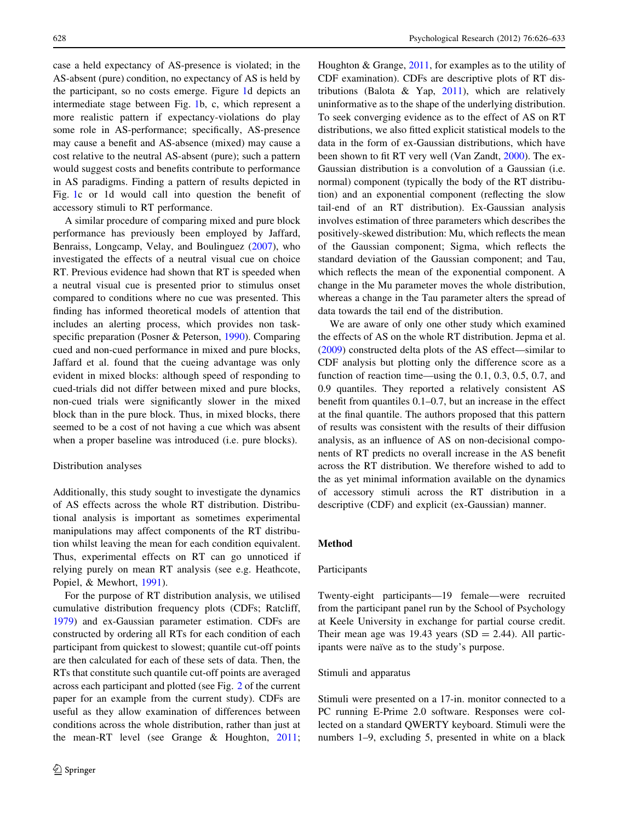case a held expectancy of AS-presence is violated; in the AS-absent (pure) condition, no expectancy of AS is held by the participant, so no costs emerge. Figure [1](#page-1-0)d depicts an intermediate stage between Fig. [1](#page-1-0)b, c, which represent a more realistic pattern if expectancy-violations do play some role in AS-performance; specifically, AS-presence may cause a benefit and AS-absence (mixed) may cause a cost relative to the neutral AS-absent (pure); such a pattern would suggest costs and benefits contribute to performance in AS paradigms. Finding a pattern of results depicted in Fig. [1](#page-1-0)c or 1d would call into question the benefit of accessory stimuli to RT performance.

A similar procedure of comparing mixed and pure block performance has previously been employed by Jaffard, Benraiss, Longcamp, Velay, and Boulinguez [\(2007](#page-7-0)), who investigated the effects of a neutral visual cue on choice RT. Previous evidence had shown that RT is speeded when a neutral visual cue is presented prior to stimulus onset compared to conditions where no cue was presented. This finding has informed theoretical models of attention that includes an alerting process, which provides non taskspecific preparation (Posner & Peterson, [1990\)](#page-7-0). Comparing cued and non-cued performance in mixed and pure blocks, Jaffard et al. found that the cueing advantage was only evident in mixed blocks: although speed of responding to cued-trials did not differ between mixed and pure blocks, non-cued trials were significantly slower in the mixed block than in the pure block. Thus, in mixed blocks, there seemed to be a cost of not having a cue which was absent when a proper baseline was introduced (i.e. pure blocks).

## Distribution analyses

Additionally, this study sought to investigate the dynamics of AS effects across the whole RT distribution. Distributional analysis is important as sometimes experimental manipulations may affect components of the RT distribution whilst leaving the mean for each condition equivalent. Thus, experimental effects on RT can go unnoticed if relying purely on mean RT analysis (see e.g. Heathcote, Popiel, & Mewhort, [1991\)](#page-7-0).

For the purpose of RT distribution analysis, we utilised cumulative distribution frequency plots (CDFs; Ratcliff, [1979\)](#page-7-0) and ex-Gaussian parameter estimation. CDFs are constructed by ordering all RTs for each condition of each participant from quickest to slowest; quantile cut-off points are then calculated for each of these sets of data. Then, the RTs that constitute such quantile cut-off points are averaged across each participant and plotted (see Fig. [2](#page-4-0) of the current paper for an example from the current study). CDFs are useful as they allow examination of differences between conditions across the whole distribution, rather than just at the mean-RT level (see Grange & Houghton, [2011](#page-7-0); Houghton & Grange, [2011](#page-7-0), for examples as to the utility of CDF examination). CDFs are descriptive plots of RT distributions (Balota & Yap,  $2011$ ), which are relatively uninformative as to the shape of the underlying distribution. To seek converging evidence as to the effect of AS on RT distributions, we also fitted explicit statistical models to the data in the form of ex-Gaussian distributions, which have been shown to fit RT very well (Van Zandt, [2000\)](#page-7-0). The ex-Gaussian distribution is a convolution of a Gaussian (i.e. normal) component (typically the body of the RT distribution) and an exponential component (reflecting the slow tail-end of an RT distribution). Ex-Gaussian analysis involves estimation of three parameters which describes the positively-skewed distribution: Mu, which reflects the mean of the Gaussian component; Sigma, which reflects the standard deviation of the Gaussian component; and Tau, which reflects the mean of the exponential component. A change in the Mu parameter moves the whole distribution, whereas a change in the Tau parameter alters the spread of data towards the tail end of the distribution.

We are aware of only one other study which examined the effects of AS on the whole RT distribution. Jepma et al. [\(2009](#page-7-0)) constructed delta plots of the AS effect—similar to CDF analysis but plotting only the difference score as a function of reaction time—using the 0.1, 0.3, 0.5, 0.7, and 0.9 quantiles. They reported a relatively consistent AS benefit from quantiles 0.1–0.7, but an increase in the effect at the final quantile. The authors proposed that this pattern of results was consistent with the results of their diffusion analysis, as an influence of AS on non-decisional components of RT predicts no overall increase in the AS benefit across the RT distribution. We therefore wished to add to the as yet minimal information available on the dynamics of accessory stimuli across the RT distribution in a descriptive (CDF) and explicit (ex-Gaussian) manner.

# Method

## Participants

Twenty-eight participants—19 female—were recruited from the participant panel run by the School of Psychology at Keele University in exchange for partial course credit. Their mean age was 19.43 years  $(SD = 2.44)$ . All participants were naïve as to the study's purpose.

## Stimuli and apparatus

Stimuli were presented on a 17-in. monitor connected to a PC running E-Prime 2.0 software. Responses were collected on a standard QWERTY keyboard. Stimuli were the numbers 1–9, excluding 5, presented in white on a black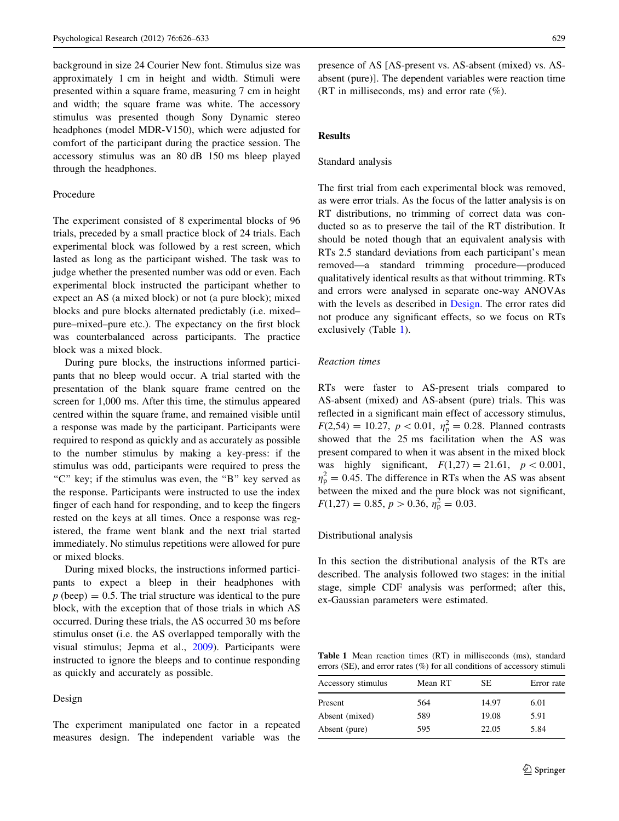background in size 24 Courier New font. Stimulus size was approximately 1 cm in height and width. Stimuli were presented within a square frame, measuring 7 cm in height and width; the square frame was white. The accessory stimulus was presented though Sony Dynamic stereo headphones (model MDR-V150), which were adjusted for comfort of the participant during the practice session. The accessory stimulus was an 80 dB 150 ms bleep played through the headphones.

# Procedure

The experiment consisted of 8 experimental blocks of 96 trials, preceded by a small practice block of 24 trials. Each experimental block was followed by a rest screen, which lasted as long as the participant wished. The task was to judge whether the presented number was odd or even. Each experimental block instructed the participant whether to expect an AS (a mixed block) or not (a pure block); mixed blocks and pure blocks alternated predictably (i.e. mixed– pure–mixed–pure etc.). The expectancy on the first block was counterbalanced across participants. The practice block was a mixed block.

During pure blocks, the instructions informed participants that no bleep would occur. A trial started with the presentation of the blank square frame centred on the screen for 1,000 ms. After this time, the stimulus appeared centred within the square frame, and remained visible until a response was made by the participant. Participants were required to respond as quickly and as accurately as possible to the number stimulus by making a key-press: if the stimulus was odd, participants were required to press the "C" key; if the stimulus was even, the "B" key served as the response. Participants were instructed to use the index finger of each hand for responding, and to keep the fingers rested on the keys at all times. Once a response was registered, the frame went blank and the next trial started immediately. No stimulus repetitions were allowed for pure or mixed blocks.

During mixed blocks, the instructions informed participants to expect a bleep in their headphones with  $p$  (beep) = 0.5. The trial structure was identical to the pure block, with the exception that of those trials in which AS occurred. During these trials, the AS occurred 30 ms before stimulus onset (i.e. the AS overlapped temporally with the visual stimulus; Jepma et al., [2009](#page-7-0)). Participants were instructed to ignore the bleeps and to continue responding as quickly and accurately as possible.

#### Design

The experiment manipulated one factor in a repeated measures design. The independent variable was the presence of AS [AS-present vs. AS-absent (mixed) vs. ASabsent (pure)]. The dependent variables were reaction time (RT in milliseconds, ms) and error rate (%).

# Results

## Standard analysis

The first trial from each experimental block was removed, as were error trials. As the focus of the latter analysis is on RT distributions, no trimming of correct data was conducted so as to preserve the tail of the RT distribution. It should be noted though that an equivalent analysis with RTs 2.5 standard deviations from each participant's mean removed—a standard trimming procedure—produced qualitatively identical results as that without trimming. RTs and errors were analysed in separate one-way ANOVAs with the levels as described in Design. The error rates did not produce any significant effects, so we focus on RTs exclusively (Table 1).

# Reaction times

RTs were faster to AS-present trials compared to AS-absent (mixed) and AS-absent (pure) trials. This was reflected in a significant main effect of accessory stimulus,  $F(2,54) = 10.27, p < 0.01, \eta_{\rm p}^2 = 0.28.$  Planned contrasts showed that the 25 ms facilitation when the AS was present compared to when it was absent in the mixed block was highly significant,  $F(1,27) = 21.61$ ,  $p < 0.001$ ,  $\eta_{\rm p}^2 = 0.45$ . The difference in RTs when the AS was absent between the mixed and the pure block was not significant,  $F(1,27) = 0.85, p > 0.36, \eta_{\rm p}^2 = 0.03.$ 

# Distributional analysis

In this section the distributional analysis of the RTs are described. The analysis followed two stages: in the initial stage, simple CDF analysis was performed; after this, ex-Gaussian parameters were estimated.

Table 1 Mean reaction times (RT) in milliseconds (ms), standard errors (SE), and error rates (%) for all conditions of accessory stimuli

| Accessory stimulus | Mean RT | SE.   | Error rate |
|--------------------|---------|-------|------------|
| Present            | 564     | 14.97 | 6.01       |
| Absent (mixed)     | 589     | 19.08 | 5.91       |
| Absent (pure)      | 595     | 22.05 | 5.84       |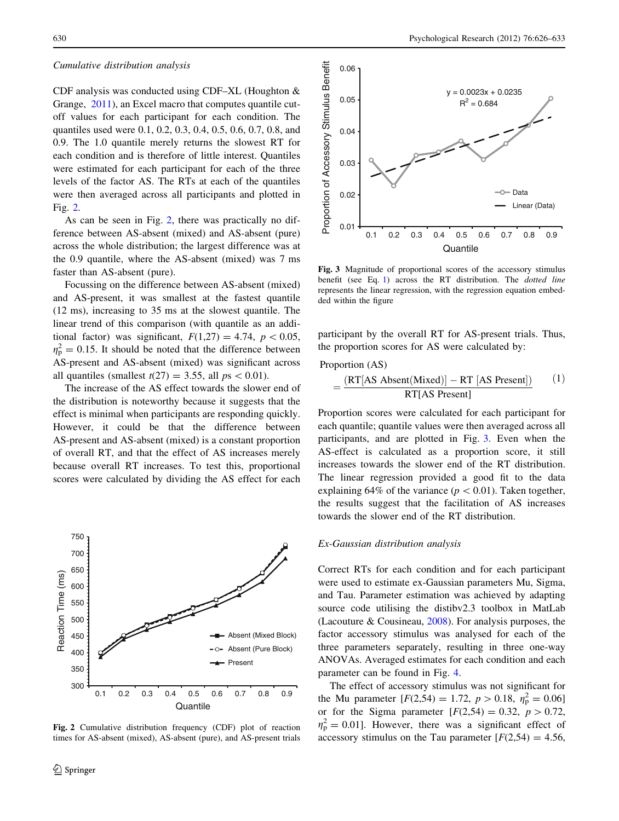#### <span id="page-4-0"></span>Cumulative distribution analysis

CDF analysis was conducted using CDF–XL (Houghton & Grange, [2011\)](#page-7-0), an Excel macro that computes quantile cutoff values for each participant for each condition. The quantiles used were 0.1, 0.2, 0.3, 0.4, 0.5, 0.6, 0.7, 0.8, and 0.9. The 1.0 quantile merely returns the slowest RT for each condition and is therefore of little interest. Quantiles were estimated for each participant for each of the three levels of the factor AS. The RTs at each of the quantiles were then averaged across all participants and plotted in Fig. 2.

As can be seen in Fig. 2, there was practically no difference between AS-absent (mixed) and AS-absent (pure) across the whole distribution; the largest difference was at the 0.9 quantile, where the AS-absent (mixed) was 7 ms faster than AS-absent (pure).

Focussing on the difference between AS-absent (mixed) and AS-present, it was smallest at the fastest quantile (12 ms), increasing to 35 ms at the slowest quantile. The linear trend of this comparison (with quantile as an additional factor) was significant,  $F(1,27) = 4.74$ ,  $p < 0.05$ ,  $\eta_{\rm p}^2 = 0.15$ . It should be noted that the difference between AS-present and AS-absent (mixed) was significant across all quantiles (smallest  $t(27) = 3.55$ , all  $ps < 0.01$ ).

The increase of the AS effect towards the slower end of the distribution is noteworthy because it suggests that the effect is minimal when participants are responding quickly. However, it could be that the difference between AS-present and AS-absent (mixed) is a constant proportion of overall RT, and that the effect of AS increases merely because overall RT increases. To test this, proportional scores were calculated by dividing the AS effect for each



Fig. 2 Cumulative distribution frequency (CDF) plot of reaction times for AS-absent (mixed), AS-absent (pure), and AS-present trials



Fig. 3 Magnitude of proportional scores of the accessory stimulus benefit (see Eq. 1) across the RT distribution. The *dotted line* represents the linear regression, with the regression equation embedded within the figure

participant by the overall RT for AS-present trials. Thus, the proportion scores for AS were calculated by:

Proportion (AS)

$$
= \frac{(RT[AS\; Absent(Mixed)] - RT\;[AS\; Present])}{RT[AS\; Present]}
$$
(1)

Proportion scores were calculated for each participant for each quantile; quantile values were then averaged across all participants, and are plotted in Fig. 3. Even when the AS-effect is calculated as a proportion score, it still increases towards the slower end of the RT distribution. The linear regression provided a good fit to the data explaining 64% of the variance ( $p < 0.01$ ). Taken together, the results suggest that the facilitation of AS increases towards the slower end of the RT distribution.

## Ex-Gaussian distribution analysis

Correct RTs for each condition and for each participant were used to estimate ex-Gaussian parameters Mu, Sigma, and Tau. Parameter estimation was achieved by adapting source code utilising the distibv2.3 toolbox in MatLab (Lacouture & Cousineau, [2008\)](#page-7-0). For analysis purposes, the factor accessory stimulus was analysed for each of the three parameters separately, resulting in three one-way ANOVAs. Averaged estimates for each condition and each parameter can be found in Fig. [4](#page-5-0).

The effect of accessory stimulus was not significant for the Mu parameter  $[F(2,54) = 1.72, p > 0.18, \eta_{p}^{2} = 0.06]$ or for the Sigma parameter  $[F(2,54) = 0.32, p > 0.72]$  $\eta_{\rm p}^2 = 0.01$ ]. However, there was a significant effect of accessory stimulus on the Tau parameter  $[F(2,54) = 4.56]$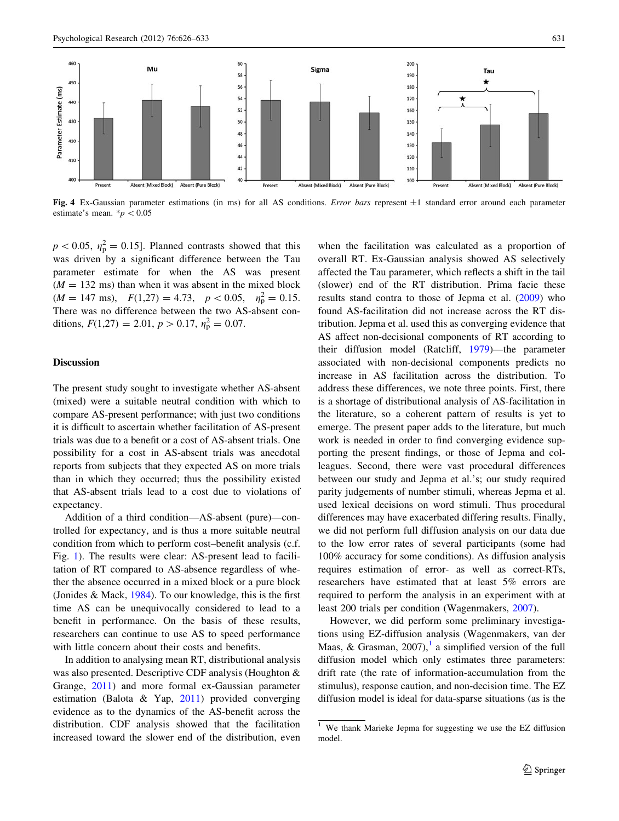

<span id="page-5-0"></span>

Fig. 4 Ex-Gaussian parameter estimations (in ms) for all AS conditions. *Error bars* represent  $\pm 1$  standard error around each parameter estimate's mean.  $* p \lt 0.05$ 

 $p < 0.05$ ,  $\eta_{\rm p}^2 = 0.15$ ]. Planned contrasts showed that this was driven by a significant difference between the Tau parameter estimate for when the AS was present  $(M = 132 \text{ ms})$  than when it was absent in the mixed block  $(M = 147 \text{ ms}), \quad F(1,27) = 4.73, \quad p < 0.05, \quad \eta_{\text{p}}^2 = 0.15.$ There was no difference between the two AS-absent conditions,  $F(1,27) = 2.01$ ,  $p > 0.17$ ,  $\eta_p^2 = 0.07$ .

# **Discussion**

The present study sought to investigate whether AS-absent (mixed) were a suitable neutral condition with which to compare AS-present performance; with just two conditions it is difficult to ascertain whether facilitation of AS-present trials was due to a benefit or a cost of AS-absent trials. One possibility for a cost in AS-absent trials was anecdotal reports from subjects that they expected AS on more trials than in which they occurred; thus the possibility existed that AS-absent trials lead to a cost due to violations of expectancy.

Addition of a third condition—AS-absent (pure)—controlled for expectancy, and is thus a more suitable neutral condition from which to perform cost–benefit analysis (c.f. Fig. [1\)](#page-1-0). The results were clear: AS-present lead to facilitation of RT compared to AS-absence regardless of whether the absence occurred in a mixed block or a pure block (Jonides & Mack, [1984](#page-7-0)). To our knowledge, this is the first time AS can be unequivocally considered to lead to a benefit in performance. On the basis of these results, researchers can continue to use AS to speed performance with little concern about their costs and benefits.

In addition to analysing mean RT, distributional analysis was also presented. Descriptive CDF analysis (Houghton & Grange, [2011](#page-7-0)) and more formal ex-Gaussian parameter estimation (Balota & Yap, [2011](#page-7-0)) provided converging evidence as to the dynamics of the AS-benefit across the distribution. CDF analysis showed that the facilitation increased toward the slower end of the distribution, even when the facilitation was calculated as a proportion of overall RT. Ex-Gaussian analysis showed AS selectively affected the Tau parameter, which reflects a shift in the tail (slower) end of the RT distribution. Prima facie these results stand contra to those of Jepma et al. ([2009\)](#page-7-0) who found AS-facilitation did not increase across the RT distribution. Jepma et al. used this as converging evidence that AS affect non-decisional components of RT according to their diffusion model (Ratcliff, [1979](#page-7-0))—the parameter associated with non-decisional components predicts no increase in AS facilitation across the distribution. To address these differences, we note three points. First, there is a shortage of distributional analysis of AS-facilitation in the literature, so a coherent pattern of results is yet to emerge. The present paper adds to the literature, but much work is needed in order to find converging evidence supporting the present findings, or those of Jepma and colleagues. Second, there were vast procedural differences between our study and Jepma et al.'s; our study required parity judgements of number stimuli, whereas Jepma et al. used lexical decisions on word stimuli. Thus procedural differences may have exacerbated differing results. Finally, we did not perform full diffusion analysis on our data due to the low error rates of several participants (some had 100% accuracy for some conditions). As diffusion analysis requires estimation of error- as well as correct-RTs, researchers have estimated that at least 5% errors are required to perform the analysis in an experiment with at least 200 trials per condition (Wagenmakers, [2007](#page-7-0)).

However, we did perform some preliminary investigations using EZ-diffusion analysis (Wagenmakers, van der Maas, & Grasman, 2007),<sup>1</sup> a simplified version of the full diffusion model which only estimates three parameters: drift rate (the rate of information-accumulation from the stimulus), response caution, and non-decision time. The EZ diffusion model is ideal for data-sparse situations (as is the

<sup>&</sup>lt;sup>1</sup> We thank Marieke Jepma for suggesting we use the EZ diffusion model.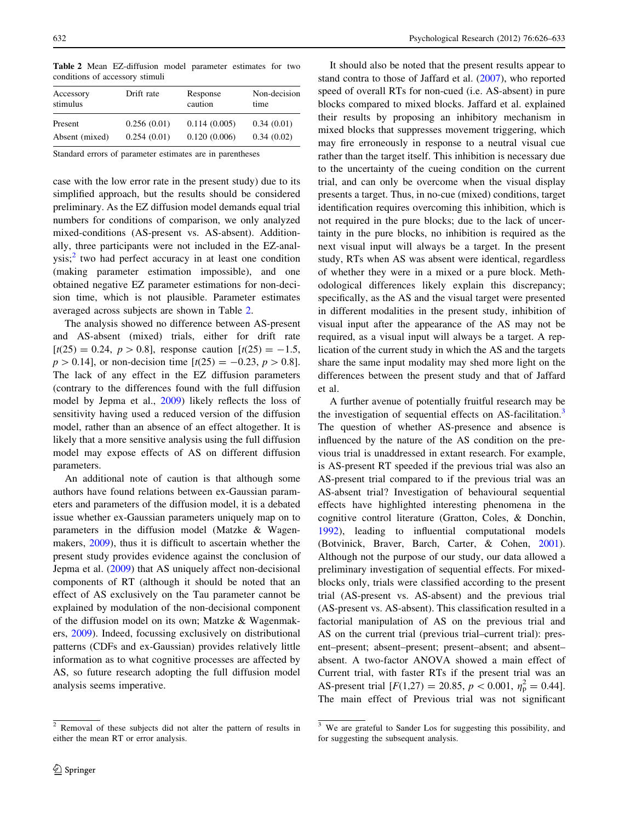Table 2 Mean EZ-diffusion model parameter estimates for two conditions of accessory stimuli

| Accessory      | Drift rate  | Response     | Non-decision |
|----------------|-------------|--------------|--------------|
| stimulus       |             | caution      | time         |
| Present        | 0.256(0.01) | 0.114(0.005) | 0.34(0.01)   |
| Absent (mixed) | 0.254(0.01) | 0.120(0.006) | 0.34(0.02)   |

Standard errors of parameter estimates are in parentheses

case with the low error rate in the present study) due to its simplified approach, but the results should be considered preliminary. As the EZ diffusion model demands equal trial numbers for conditions of comparison, we only analyzed mixed-conditions (AS-present vs. AS-absent). Additionally, three participants were not included in the EZ-analysis;<sup>2</sup> two had perfect accuracy in at least one condition (making parameter estimation impossible), and one obtained negative EZ parameter estimations for non-decision time, which is not plausible. Parameter estimates averaged across subjects are shown in Table 2.

The analysis showed no difference between AS-present and AS-absent (mixed) trials, either for drift rate  $[t(25) = 0.24, p > 0.8]$ , response caution  $[t(25) = -1.5,$  $p > 0.14$ ], or non-decision time  $[t(25) = -0.23, p > 0.8]$ . The lack of any effect in the EZ diffusion parameters (contrary to the differences found with the full diffusion model by Jepma et al., [2009\)](#page-7-0) likely reflects the loss of sensitivity having used a reduced version of the diffusion model, rather than an absence of an effect altogether. It is likely that a more sensitive analysis using the full diffusion model may expose effects of AS on different diffusion parameters.

An additional note of caution is that although some authors have found relations between ex-Gaussian parameters and parameters of the diffusion model, it is a debated issue whether ex-Gaussian parameters uniquely map on to parameters in the diffusion model (Matzke & Wagenmakers, [2009\)](#page-7-0), thus it is difficult to ascertain whether the present study provides evidence against the conclusion of Jepma et al. [\(2009](#page-7-0)) that AS uniquely affect non-decisional components of RT (although it should be noted that an effect of AS exclusively on the Tau parameter cannot be explained by modulation of the non-decisional component of the diffusion model on its own; Matzke & Wagenmakers, [2009\)](#page-7-0). Indeed, focussing exclusively on distributional patterns (CDFs and ex-Gaussian) provides relatively little information as to what cognitive processes are affected by AS, so future research adopting the full diffusion model analysis seems imperative.

It should also be noted that the present results appear to stand contra to those of Jaffard et al. ([2007\)](#page-7-0), who reported speed of overall RTs for non-cued (i.e. AS-absent) in pure blocks compared to mixed blocks. Jaffard et al. explained their results by proposing an inhibitory mechanism in mixed blocks that suppresses movement triggering, which may fire erroneously in response to a neutral visual cue rather than the target itself. This inhibition is necessary due to the uncertainty of the cueing condition on the current trial, and can only be overcome when the visual display presents a target. Thus, in no-cue (mixed) conditions, target identification requires overcoming this inhibition, which is not required in the pure blocks; due to the lack of uncertainty in the pure blocks, no inhibition is required as the next visual input will always be a target. In the present study, RTs when AS was absent were identical, regardless of whether they were in a mixed or a pure block. Methodological differences likely explain this discrepancy; specifically, as the AS and the visual target were presented in different modalities in the present study, inhibition of visual input after the appearance of the AS may not be required, as a visual input will always be a target. A replication of the current study in which the AS and the targets share the same input modality may shed more light on the differences between the present study and that of Jaffard et al.

A further avenue of potentially fruitful research may be the investigation of sequential effects on AS-facilitation.<sup>3</sup> The question of whether AS-presence and absence is influenced by the nature of the AS condition on the previous trial is unaddressed in extant research. For example, is AS-present RT speeded if the previous trial was also an AS-present trial compared to if the previous trial was an AS-absent trial? Investigation of behavioural sequential effects have highlighted interesting phenomena in the cognitive control literature (Gratton, Coles, & Donchin, [1992](#page-7-0)), leading to influential computational models (Botvinick, Braver, Barch, Carter, & Cohen, [2001](#page-7-0)). Although not the purpose of our study, our data allowed a preliminary investigation of sequential effects. For mixedblocks only, trials were classified according to the present trial (AS-present vs. AS-absent) and the previous trial (AS-present vs. AS-absent). This classification resulted in a factorial manipulation of AS on the previous trial and AS on the current trial (previous trial–current trial): present–present; absent–present; present–absent; and absent– absent. A two-factor ANOVA showed a main effect of Current trial, with faster RTs if the present trial was an AS-present trial  $[F(1,27) = 20.85, p < 0.001, \eta_{\rm p}^2 = 0.44]$ . The main effect of Previous trial was not significant

<sup>2</sup> Removal of these subjects did not alter the pattern of results in either the mean RT or error analysis.

<sup>&</sup>lt;sup>3</sup> We are grateful to Sander Los for suggesting this possibility, and for suggesting the subsequent analysis.